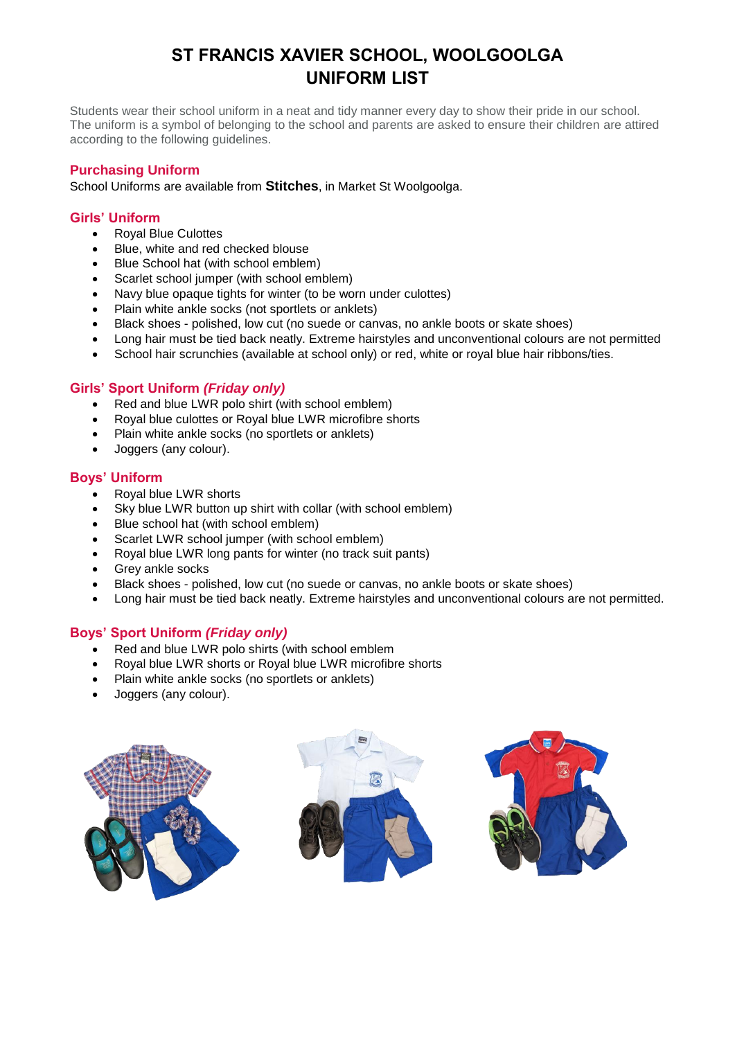# **ST FRANCIS XAVIER SCHOOL, WOOLGOOLGA UNIFORM LIST**

Students wear their school uniform in a neat and tidy manner every day to show their pride in our school. The uniform is a symbol of belonging to the school and parents are asked to ensure their children are attired according to the following guidelines.

# **Purchasing Uniform**

School Uniforms are available from **Stitches**, in Market St Woolgoolga.

## **Girls' Uniform**

- Royal Blue Culottes
- Blue, white and red checked blouse
- Blue School hat (with school emblem)
- Scarlet school jumper (with school emblem)
- Navy blue opaque tights for winter (to be worn under culottes)
- Plain white ankle socks (not sportlets or anklets)
- Black shoes polished, low cut (no suede or canvas, no ankle boots or skate shoes)
- Long hair must be tied back neatly. Extreme hairstyles and unconventional colours are not permitted
- School hair scrunchies (available at school only) or red, white or royal blue hair ribbons/ties.

## **Girls' Sport Uniform** *(Friday only)*

- Red and blue LWR polo shirt (with school emblem)
- Royal blue culottes or Royal blue LWR microfibre shorts
- Plain white ankle socks (no sportlets or anklets)
- Joggers (any colour).

#### **Boys' Uniform**

- Royal blue LWR shorts
- Sky blue LWR button up shirt with collar (with school emblem)
- Blue school hat (with school emblem)
- Scarlet LWR school jumper (with school emblem)
- Royal blue LWR long pants for winter (no track suit pants)
- Grey ankle socks
- Black shoes polished, low cut (no suede or canvas, no ankle boots or skate shoes)
- Long hair must be tied back neatly. Extreme hairstyles and unconventional colours are not permitted.

# **Boys' Sport Uniform** *(Friday only)*

- Red and blue LWR polo shirts (with school emblem
- Royal blue LWR shorts or Royal blue LWR microfibre shorts
- Plain white ankle socks (no sportlets or anklets)
- Joggers (any colour).